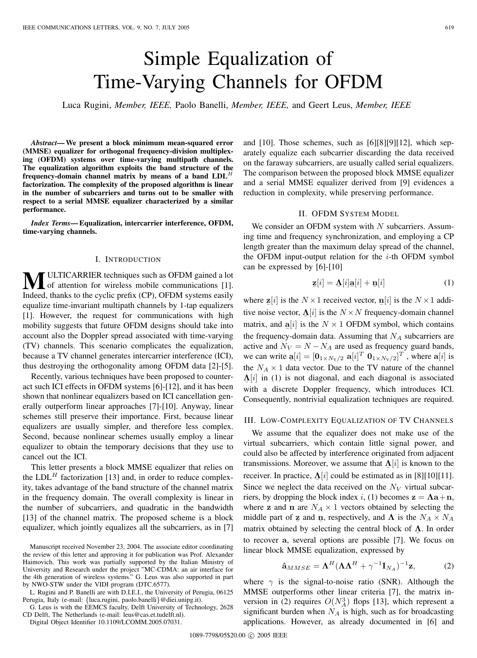# Simple Equalization of Time-Varying Channels for OFDM

Luca Rugini, *Member, IEEE,* Paolo Banelli, *Member, IEEE,* and Geert Leus, *Member, IEEE*

*Abstract***—We present a block minimum mean-squared error (MMSE) equalizer for orthogonal frequency-division multiplexing (OFDM) systems over time-varying multipath channels. The equalization algorithm exploits the band structure of the frequency-domain channel matrix by means of a band LDL***<sup>H</sup>* **factorization. The complexity of the proposed algorithm is linear in the number of subcarriers and turns out to be smaller with respect to a serial MMSE equalizer characterized by a similar performance.**

*Index Terms***— Equalization, intercarrier interference, OFDM, time-varying channels.**

## I. INTRODUCTION

**M** ULTICARRIER techniques such as OFDM gained a lot of attention for wireless mobile communications [1]. Indeed, thanks to the cyclic prefix (CP), OFDM systems easily equalize time-invariant multipath channels by 1-tap equalizers [1]. However, the request for communications with high mobility suggests that future OFDM designs should take into account also the Doppler spread associated with time-varying (TV) channels. This scenario complicates the equalization, because a TV channel generates intercarrier interference (ICI), thus destroying the orthogonality among OFDM data [2]-[5].

Recently, various techniques have been proposed to counteract such ICI effects in OFDM systems [6]-[12], and it has been shown that nonlinear equalizers based on ICI cancellation generally outperform linear approaches [7]-[10]. Anyway, linear schemes still preserve their importance. First, because linear equalizers are usually simpler, and therefore less complex. Second, because nonlinear schemes usually employ a linear equalizer to obtain the temporary decisions that they use to cancel out the ICI.

This letter presents a block MMSE equalizer that relies on the  $LDL<sup>H</sup>$  factorization [13] and, in order to reduce complexity, takes advantage of the band structure of the channel matrix in the frequency domain. The overall complexity is linear in the number of subcarriers, and quadratic in the bandwidth [13] of the channel matrix. The proposed scheme is a block equalizer, which jointly equalizes all the subcarriers, as in [7]

G. Leus is with the EEMCS faculty, Delft University of Technology, 2628 CD Delft, The Netherlands (e-mail: leus@cas.et.tudelft.nl).

Digital Object Identifier 10.1109/LCOMM.2005.07031.

and [10]. Those schemes, such as [6][8][9][12], which separately equalize each subcarrier discarding the data received on the faraway subcarriers, are usually called serial equalizers. The comparison between the proposed block MMSE equalizer and a serial MMSE equalizer derived from [9] evidences a reduction in complexity, while preserving performance.

## II. OFDM SYSTEM MODEL

We consider an OFDM system with  $N$  subcarriers. Assuming time and frequency synchronization, and employing a CP length greater than the maximum delay spread of the channel, the OFDM input-output relation for the  $i$ -th OFDM symbol can be expressed by [6]-[10]

$$
\mathbf{z}[i] = \mathbf{\underline{\Lambda}}[i]\mathbf{a}[i] + \mathbf{n}[i] \tag{1}
$$

where  $\mathbf{z}[i]$  is the  $N \times 1$  received vector,  $\mathbf{n}[i]$  is the  $N \times 1$  additive noise vector,  $\Lambda[i]$  is the  $N \times N$  frequency-domain channel matrix, and  $\underline{a}[i]$  is the  $N \times 1$  OFDM symbol, which contains<br>the forecast a density data. Accurating that  $N$ , which contains the frequency-domain data. Assuming that  $N_A$  subcarriers are active and  $N_V = N - N_A$  are used as frequency guard bands, we can write  $\mathbf{a}[i] = [\mathbf{0}_{1 \times N_V/2} \ \mathbf{a}[i]^T \ \mathbf{0}_{1 \times N_V/2}]^T$ , where  $\mathbf{a}[i]$  is the  $N_A \times 1$  data vector. Due to the TV nature of the channel  $\Delta[i]$  in (1) is not diagonal, and each diagonal is associated<br>with a diagonal Danglan fractuation which introduces ICI with a discrete Doppler frequency, which introduces ICI. Consequently, nontrivial equalization techniques are required.

#### III. LOW-COMPLEXITY EQUALIZATION OF TV CHANNELS

We assume that the equalizer does not make use of the virtual subcarriers, which contain little signal power, and could also be affected by interference originated from adjacent transmissions. Moreover, we assume that  $\Delta[i]$  is known to the receiver. In practice,  $\Delta[i]$  could be estimated as in [8][10][11]. Since we neglect the data received on the  $N_V$  virtual subcarriers, by dropping the block index i, (1) becomes  $z = \Lambda a + n$ , where **z** and **n** are  $N_A \times 1$  vectors obtained by selecting the middle part of **z** and **n**, respectively, and **Λ** is the  $N_A \times N_A$ matrix obtained by selecting the central block of  $\Lambda$ . In order to recover **a**, several options are possible [7]. We focus on linear block MMSE equalization, expressed by

$$
\hat{\mathbf{a}}_{MMSE} = \mathbf{\Lambda}^H (\mathbf{\Lambda} \mathbf{\Lambda}^H + \gamma^{-1} \mathbf{I}_{N_A})^{-1} \mathbf{z},\tag{2}
$$

where  $\gamma$  is the signal-to-noise ratio (SNR). Although the MMSE outperforms other linear criteria [7], the matrix inversion in (2) requires  $O(N_A^3)$  flops [13], which represent a significant burden when  $N_A$  is high such as for broadcasting significant burden when  $N_A$  is high, such as for broadcasting applications. However, as already documented in [6] and

Manuscript received November 23, 2004. The associate editor coordinating the review of this letter and approving it for publication was Prof. Alexander Haimovich. This work was partially supported by the Italian Ministry of University and Research under the project "MC-CDMA: an air interface for the 4th generation of wireless systems." G. Leus was also supported in part by NWO-STW under the VIDI program (DTC.6577).

L. Rugini and P. Banelli are with D.I.E.I., the University of Perugia, 06125 Perugia, Italy (e-mail: {luca.rugini, paolo.banelli}@diei.unipg.it).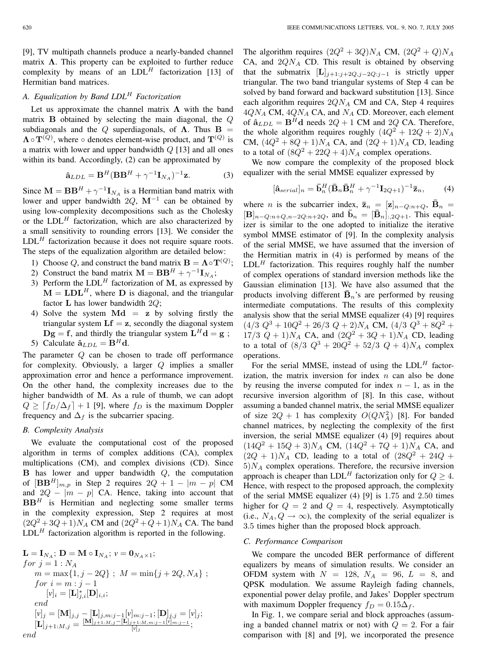[9], TV multipath channels produce a nearly-banded channel matrix **Λ**. This property can be exploited to further reduce complexity by means of an  $LDL<sup>H</sup>$  factorization [13] of Hermitian band matrices.

# *A. Equalization by Band LDL*<sup>H</sup> *Factorization*

Let us approximate the channel matrix **Λ** with the band matrix **B** obtained by selecting the main diagonal, the Q subdiagonals and the Q superdiagonals, of  $\Lambda$ . Thus  $\mathbf{B} =$  $\Lambda \circ T^{(Q)}$ , where  $\circ$  denotes element-wise product, and  $T^{(Q)}$  is a matrix with lower and upper bandwidth  $Q$  [13] and all ones within its band. Accordingly, (2) can be approximated by

$$
\hat{\mathbf{a}}_{LDL} = \mathbf{B}^H (\mathbf{B} \mathbf{B}^H + \gamma^{-1} \mathbf{I}_{N_A})^{-1} \mathbf{z}.
$$
 (3)

Since  $\mathbf{M} = \mathbf{B}\mathbf{B}^H + \gamma^{-1}\mathbf{I}_{N_A}$  is a Hermitian band matrix with lower and upper bandwidth 2Q, **<sup>M</sup>**−<sup>1</sup> can be obtained by using low-complexity decompositions such as the Cholesky or the  $LDL<sup>H</sup>$  factorization, which are also characterized by a small sensitivity to rounding errors [13]. We consider the  $LDL<sup>H</sup>$  factorization because it does not require square roots. The steps of the equalization algorithm are detailed below:

- 1) Choose Q, and construct the band matrix  $\mathbf{B} = \Lambda \circ \mathbf{T}^{(Q)}$ ;<br>2) Construct the band matrix  $\mathbf{M} = \mathbf{B} \mathbf{B}^H + \gamma^{-1} \mathbf{I}$ .
- 2) Construct the band matrix  $\mathbf{M} = \mathbf{B}\mathbf{B}^H + \gamma^{-1}\mathbf{I}_{N_A}$ ;
- 3) Perform the  $LDL<sup>H</sup>$  factorization of M, as expressed by  $M = LDL^H$ , where **D** is diagonal, and the triangular factor **<sup>L</sup>** has lower bandwidth 2Q;
- 4) Solve the system **Md** = **<sup>z</sup>** by solving firstly the triangular system  $\mathbf{L}f = \mathbf{z}$ , secondly the diagonal system  $\mathbf{D}\mathbf{g} = \mathbf{f}$ , and thirdly the triangular system  $\mathbf{L}^H \mathbf{d} = \mathbf{g}$ ;
- 5) Calculate  $\hat{\mathbf{a}}_{LDL} = \mathbf{B}^H \mathbf{d}$ .

The parameter  $Q$  can be chosen to trade off performance for complexity. Obviously, a larger  $Q$  implies a smaller approximation error and hence a performance improvement. On the other hand, the complexity increases due to the higher bandwidth of **M**. As a rule of thumb, we can adopt  $Q \geq \lfloor f_D/\Delta_f \rfloor + 1$  [9], where  $f_D$  is the maximum Doppler frequency and  $\Delta_f$  is the subcarrier spacing.

## *B. Complexity Analysis*

We evaluate the computational cost of the proposed algorithm in terms of complex additions (CA), complex multiplications (CM), and complex divisions (CD). Since **B** has lower and upper bandwidth Q, the computation of  $[\mathbf{B}\mathbf{B}^H]_{m,p}$  in Step 2 requires  $2Q + 1 - |m - p|$  CM and  $2Q - |m - p|$  CA. Hence, taking into account that  $BB<sup>H</sup>$  is Hermitian and neglecting some smaller terms in the complexity expression, Step 2 requires at most  $(2Q^2 + 3Q + 1)N_A$  CM and  $(2Q^2 + Q + 1)N_A$  CA. The band  $LDL<sup>H</sup>$  factorization algorithm is reported in the following.

$$
\mathbf{L} = \mathbf{I}_{N_A}; \mathbf{D} = \mathbf{M} \circ \mathbf{I}_{N_A}; v = \mathbf{0}_{N_A \times 1};
$$
  
\n
$$
for \ j = 1 : N_A
$$
  
\n
$$
m = \max\{1, j - 2Q\} ; M = \min\{j + 2Q, N_A\} ;
$$
  
\n
$$
for \ i = m : j - 1
$$
  
\n
$$
[v]_i = [\mathbf{L}]_{j,i}^* [\mathbf{D}]_{i,i};
$$
  
\n
$$
end
$$
  
\n
$$
[v]_j = [\mathbf{M}]_{j,j} - [\mathbf{L}]_{j,m:j-1} [v]_{m:j-1}; [\mathbf{D}]_{j,j} = [v]_j;
$$
  
\n
$$
[\mathbf{L}]_{j+1:M,j} = \frac{[\mathbf{M}]_{j+1:M,j} - [\mathbf{L}]_{j+1:M,m:j-1} [v]_{m:j-1}}{[v]_j};
$$
  
\n
$$
end
$$

The algorithm requires  $(2Q^2 + 3Q)N_A$  CM,  $(2Q^2 + Q)N_A$ CA, and  $2QN<sub>A</sub>$  CD. This result is obtained by observing that the submatrix  $[\mathbf{L}]_{j+1:j+2Q,j-2Q:j-1}$  is strictly upper triangular. The two band triangular systems of Step 4 can be solved by band forward and backward substitution [13]. Since each algorithm requires  $2QN_A$  CM and CA, Step 4 requires  $4QN_A$  CM,  $4QN_A$  CA, and  $N_A$  CD. Moreover, each element of  $\hat{\mathbf{a}}_{LDL} = \mathbf{B}^H \mathbf{d}$  needs  $2Q + 1$  CM and  $2Q$  CA. Therefore, the whole algorithm requires roughly  $(4Q^2 + 12Q + 2)N_A$ CM,  $(4Q^{2} + 8Q + 1)N_{A}$  CA, and  $(2Q + 1)N_{A}$  CD, leading to a total of  $(8Q^2 + 22Q + 4)N_A$  complex operations.

We now compare the complexity of the proposed block equalizer with the serial MMSE equalizer expressed by

$$
[\hat{\mathbf{a}}_{serial}]_n = \bar{\mathbf{b}}_n^H (\bar{\mathbf{B}}_n \bar{\mathbf{B}}_n^H + \gamma^{-1} \mathbf{I}_{2Q+1})^{-1} \bar{\mathbf{z}}_n, \qquad (4)
$$

where *n* is the subcarrier index,  $\bar{\mathbf{z}}_n = [\mathbf{z}]_{n-Q:n+Q}, \bar{\mathbf{B}}_n =$  $[\mathbf{B}]_{n-Q:n+Q,n-2Q:n+2Q}$ , and  $\bar{\mathbf{b}}_n = [\bar{\mathbf{B}}_n]_{:,2Q+1}$ . This equalizer is similar to the one adopted to initialize the iterative symbol MMSE estimator of [9]. In the complexity analysis of the serial MMSE, we have assumed that the inversion of the Hermitian matrix in (4) is performed by means of the  $LDL<sup>H</sup>$  factorization. This requires roughly half the number of complex operations of standard inversion methods like the Gaussian elimination [13]. We have also assumed that the products involving different  $\bar{\mathbf{B}}_n$ 's are performed by reusing intermediate computations. The results of this complexity analysis show that the serial MMSE equalizer (4) [9] requires  $(4/3 \tQ^3 + 10Q^2 + 26/3 \tQ + 2)N_A$  CM,  $(4/3 \tQ^3 + 8Q^2 +$  $17/3$   $Q + 1$ ) $N_A$  CA, and  $(2Q^2 + 3Q + 1)N_A$  CD, leading to a total of  $(8/3 \tQ^3 + 20Q^2 + 52/3 \tQ + 4)N_A$  complex operations.

For the serial MMSE, instead of using the  $LDL<sup>H</sup>$  factorization, the matrix inversion for index  $n$  can also be done by reusing the inverse computed for index  $n - 1$ , as in the recursive inversion algorithm of [8]. In this case, without assuming a banded channel matrix, the serial MMSE equalizer of size  $2Q + 1$  has complexity  $O(QN_A^2)$  [8]. For banded channel matrices by neglecting the complexity of the first channel matrices, by neglecting the complexity of the first inversion, the serial MMSE equalizer (4) [9] requires about  $(14Q^{2} + 15Q + 3)N_{A}$  CM,  $(14Q^{2} + 7Q + 1)N_{A}$  CA, and  $(2Q + 1)N_A$  CD, leading to a total of  $(28Q^2 + 24Q +$  $5)N_A$  complex operations. Therefore, the recursive inversion approach is cheaper than  $LDL<sup>H</sup>$  factorization only for  $Q \geq 4$ . Hence, with respect to the proposed approach, the complexity of the serial MMSE equalizer (4) [9] is 1.75 and 2.50 times higher for  $Q = 2$  and  $Q = 4$ , respectively. Asymptotically (i.e.,  $N_A, Q \rightarrow \infty$ ), the complexity of the serial equalizer is 3.5 times higher than the proposed block approach.

#### *C. Performance Comparison*

We compare the uncoded BER performance of different equalizers by means of simulation results. We consider an OFDM system with  $N = 128$ ,  $N_A = 96$ ,  $L = 8$ , and QPSK modulation. We assume Rayleigh fading channels, exponential power delay profile, and Jakes' Doppler spectrum with maximum Doppler frequency  $f_D = 0.15\Delta_f$ .

In Fig. 1, we compare serial and block approaches (assuming a banded channel matrix or not) with  $Q = 2$ . For a fair comparison with [8] and [9], we incorporated the presence